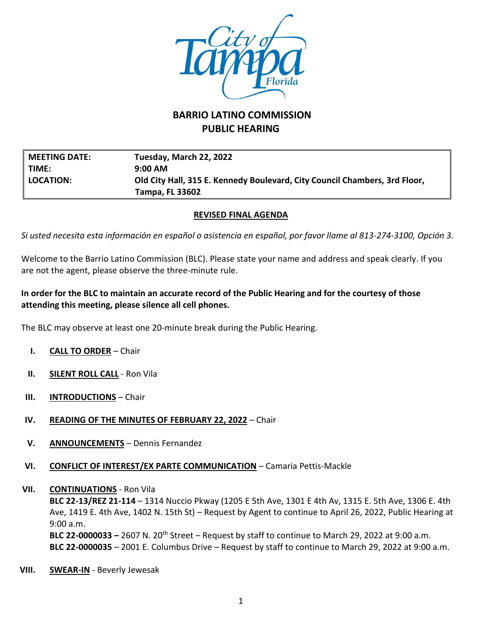

# **BARRIO LATINO COMMISSION PUBLIC HEARING**

| <b>MEETING DATE:</b> | Tuesday, March 22, 2022                                                    |
|----------------------|----------------------------------------------------------------------------|
| TIME:                | $9:00 \text{ AM}$                                                          |
| $\ $ location:       | Old City Hall, 315 E. Kennedy Boulevard, City Council Chambers, 3rd Floor, |
|                      | Tampa, FL 33602                                                            |

#### **REVISED FINAL AGENDA**

*Si usted necesita esta información en español o asistencia en español, por favor llame al 813-274-3100, Opción 3.*

Welcome to the Barrio Latino Commission (BLC). Please state your name and address and speak clearly. If you are not the agent, please observe the three-minute rule.

### **In order for the BLC to maintain an accurate record of the Public Hearing and for the courtesy of those attending this meeting, please silence all cell phones.**

The BLC may observe at least one 20-minute break during the Public Hearing.

- **I. CALL TO ORDER** Chair
- **II. SILENT ROLL CALL** Ron Vila
- **III. INTRODUCTIONS** Chair
- **IV. READING OF THE MINUTES OF FEBRUARY 22, 2022** Chair
- **V. ANNOUNCEMENTS** Dennis Fernandez
- **VI. CONFLICT OF INTEREST/EX PARTE COMMUNICATION** Camaria Pettis-Mackle
- **VII. CONTINUATIONS** Ron Vila

**BLC 22-13/REZ 21-114** – 1314 Nuccio Pkway (1205 E 5th Ave, 1301 E 4th Av, 1315 E. 5th Ave, 1306 E. 4th Ave, 1419 E. 4th Ave, 1402 N. 15th St) – Request by Agent to continue to April 26, 2022, Public Hearing at 9:00 a.m. **BLC 22-0000033 –** 2607 N. 20th Street – Request by staff to continue to March 29, 2022 at 9:00 a.m.

**BLC 22-0000035** – 2001 E. Columbus Drive – Request by staff to continue to March 29, 2022 at 9:00 a.m.

**VIII. SWEAR-IN** - Beverly Jewesak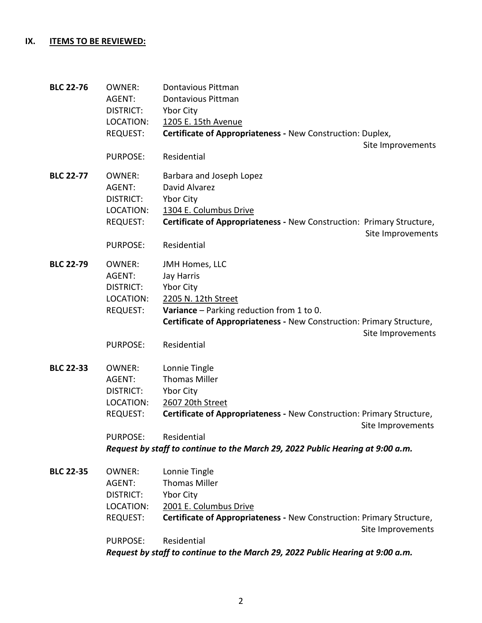## **IX. ITEMS TO BE REVIEWED:**

| <b>BLC 22-76</b> | <b>OWNER:</b><br>AGENT:<br><b>DISTRICT:</b>                          | Dontavious Pittman<br>Dontavious Pittman<br><b>Ybor City</b>                                                                                                                          |
|------------------|----------------------------------------------------------------------|---------------------------------------------------------------------------------------------------------------------------------------------------------------------------------------|
|                  | LOCATION:<br><b>REQUEST:</b>                                         | 1205 E. 15th Avenue<br>Certificate of Appropriateness - New Construction: Duplex,<br>Site Improvements                                                                                |
|                  | <b>PURPOSE:</b>                                                      | Residential                                                                                                                                                                           |
| <b>BLC 22-77</b> | <b>OWNER:</b><br>AGENT:<br>DISTRICT:<br>LOCATION:<br>REQUEST:        | Barbara and Joseph Lopez<br>David Alvarez<br><b>Ybor City</b><br>1304 E. Columbus Drive<br>Certificate of Appropriateness - New Construction: Primary Structure,<br>Site Improvements |
|                  | <b>PURPOSE:</b>                                                      | Residential                                                                                                                                                                           |
| <b>BLC 22-79</b> | <b>OWNER:</b><br>AGENT:<br>DISTRICT:<br>LOCATION:<br>REQUEST:        | JMH Homes, LLC<br>Jay Harris<br>Ybor City<br>2205 N. 12th Street<br>Variance - Parking reduction from 1 to 0.                                                                         |
|                  |                                                                      | Certificate of Appropriateness - New Construction: Primary Structure,<br>Site Improvements                                                                                            |
|                  | <b>PURPOSE:</b>                                                      | Residential                                                                                                                                                                           |
| <b>BLC 22-33</b> | <b>OWNER:</b><br>AGENT:<br>DISTRICT:<br>LOCATION:<br><b>REQUEST:</b> | Lonnie Tingle<br><b>Thomas Miller</b><br>Ybor City<br>2607 20th Street<br>Certificate of Appropriateness - New Construction: Primary Structure,                                       |
|                  |                                                                      | Site Improvements                                                                                                                                                                     |
|                  | <b>PURPOSE:</b>                                                      | Residential<br>Request by staff to continue to the March 29, 2022 Public Hearing at 9:00 a.m.                                                                                         |
| <b>BLC 22-35</b> | OWNER:<br>AGENT:<br><b>DISTRICT:</b><br>LOCATION:                    | Lonnie Tingle<br><b>Thomas Miller</b><br><b>Ybor City</b><br>2001 E. Columbus Drive                                                                                                   |
|                  | REQUEST:                                                             | Certificate of Appropriateness - New Construction: Primary Structure,<br>Site Improvements                                                                                            |
|                  | PURPOSE:                                                             | Residential                                                                                                                                                                           |

*Request by staff to continue to the March 29, 2022 Public Hearing at 9:00 a.m.*